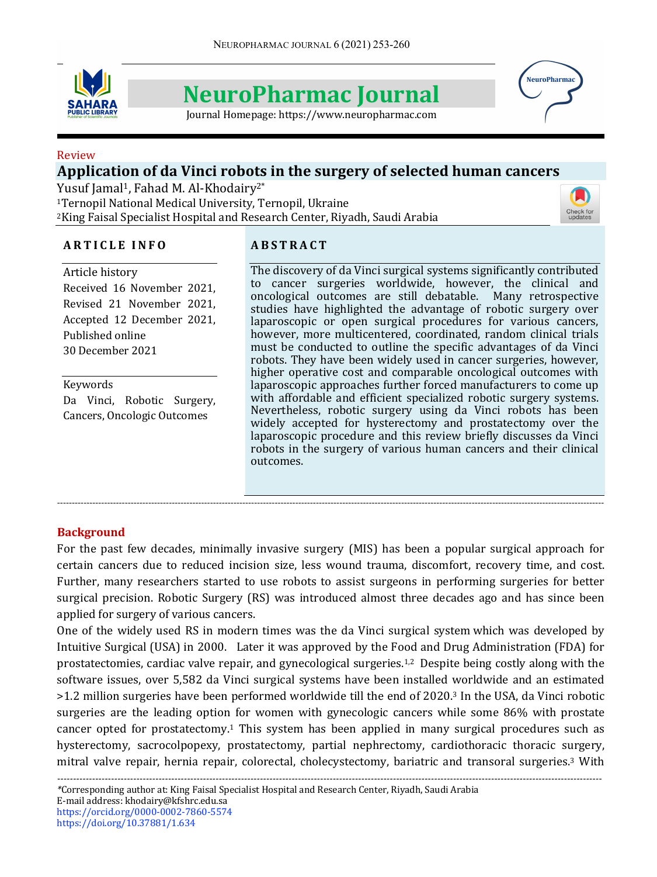

# **NeuroPharmac Journal**

Journal Homepage: https://www.neuropharmac.com



#### Review

# Application of da Vinci robots in the surgery of selected human cancers

Yusuf Jamal<sup>1</sup>, Fahad M. Al-Khodairy<sup>2\*</sup>

<sup>1</sup>Ternopil National Medical University, Ternopil, Ukraine <sup>2</sup>King Faisal Specialist Hospital and Research Center, Riyadh, Saudi Arabia



## **A R T I C L E I N F O**

# **A B S T R A C T**

Article history Received 16 November 2021, Revised 21 November 2021, Accepted 12 December 2021, Published online 30 December 2021

Keywords Da Vinci, Robotic Surgery, Cancers, Oncologic Outcomes

The discovery of da Vinci surgical systems significantly contributed to cancer surgeries worldwide, however, the clinical and oncological outcomes are still debatable. Many retrospective studies have highlighted the advantage of robotic surgery over laparoscopic or open surgical procedures for various cancers, however, more multicentered, coordinated, random clinical trials must be conducted to outline the specific advantages of da Vinci robots. They have been widely used in cancer surgeries, however, higher operative cost and comparable oncological outcomes with laparoscopic approaches further forced manufacturers to come up with affordable and efficient specialized robotic surgery systems. Nevertheless, robotic surgery using da Vinci robots has been widely accepted for hysterectomy and prostatectomy over the laparoscopic procedure and this review briefly discusses da Vinci robots in the surgery of various human cancers and their clinical outcomes. 

### **Background**

For the past few decades, minimally invasive surgery (MIS) has been a popular surgical approach for certain cancers due to reduced incision size, less wound trauma, discomfort, recovery time, and cost. Further, many researchers started to use robots to assist surgeons in performing surgeries for better surgical precision. Robotic Surgery (RS) was introduced almost three decades ago and has since been applied for surgery of various cancers.

------------------------------------------------------------------------------------------------------------------------------------------------------------------------------------------

One of the widely used RS in modern times was the da Vinci surgical system which was developed by Intuitive Surgical (USA) in 2000. Later it was approved by the Food and Drug Administration (FDA) for prostatectomies, cardiac valve repair, and gynecological surgeries.<sup>1,2</sup> Despite being costly along with the software issues, over 5,582 da Vinci surgical systems have been installed worldwide and an estimated >1.2 million surgeries have been performed worldwide till the end of 2020.<sup>3</sup> In the USA, da Vinci robotic surgeries are the leading option for women with gynecologic cancers while some 86% with prostate cancer opted for prostatectomy.<sup>1</sup> This system has been applied in many surgical procedures such as hysterectomy, sacrocolpopexy, prostatectomy, partial nephrectomy, cardiothoracic thoracic surgery, mitral valve repair, hernia repair, colorectal, cholecystectomy, bariatric and transoral surgeries.<sup>3</sup> With

*----------------------------------------------------------------------------------------------------------------------------------------------------------------------------*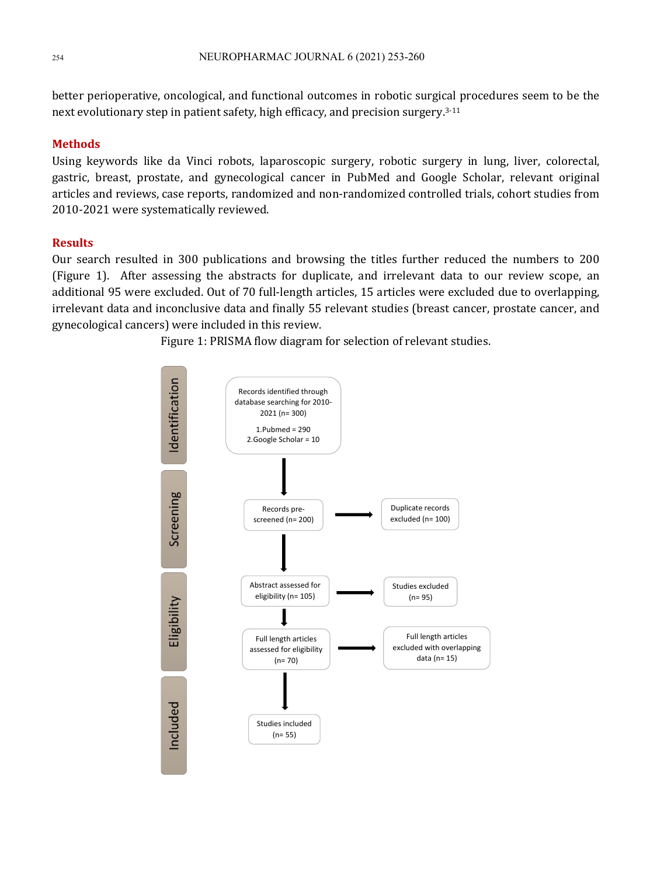better perioperative, oncological, and functional outcomes in robotic surgical procedures seem to be the next evolutionary step in patient safety, high efficacy, and precision surgery.<sup>3-11</sup>

#### **Methods**

Using keywords like da Vinci robots, laparoscopic surgery, robotic surgery in lung, liver, colorectal, gastric, breast, prostate, and gynecological cancer in PubMed and Google Scholar, relevant original articles and reviews, case reports, randomized and non-randomized controlled trials, cohort studies from 2010-2021 were systematically reviewed.

#### **Results**

Our search resulted in 300 publications and browsing the titles further reduced the numbers to 200 (Figure 1). After assessing the abstracts for duplicate, and irrelevant data to our review scope, an additional 95 were excluded. Out of 70 full-length articles, 15 articles were excluded due to overlapping, irrelevant data and inconclusive data and finally 55 relevant studies (breast cancer, prostate cancer, and gynecological cancers) were included in this review.

Figure 1: PRISMA flow diagram for selection of relevant studies.

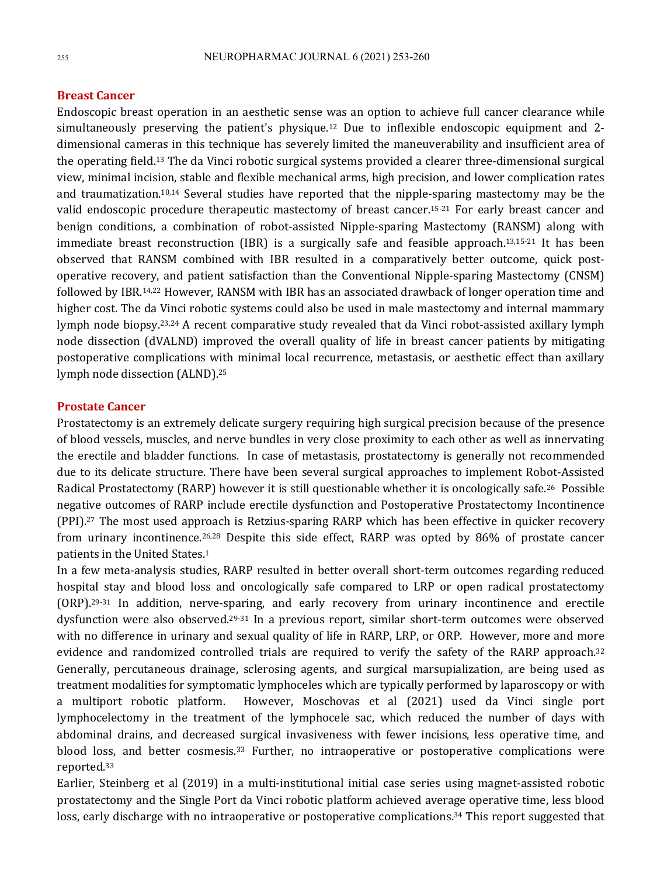#### **Breast Cancer**

Endoscopic breast operation in an aesthetic sense was an option to achieve full cancer clearance while simultaneously preserving the patient's physique.<sup>12</sup> Due to inflexible endoscopic equipment and 2dimensional cameras in this technique has severely limited the maneuverability and insufficient area of the operating field.<sup>13</sup> The da Vinci robotic surgical systems provided a clearer three-dimensional surgical view, minimal incision, stable and flexible mechanical arms, high precision, and lower complication rates and traumatization.<sup>10,14</sup> Several studies have reported that the nipple-sparing mastectomy may be the valid endoscopic procedure therapeutic mastectomy of breast cancer.<sup>15-21</sup> For early breast cancer and benign conditions, a combination of robot-assisted Nipple-sparing Mastectomy (RANSM) along with immediate breast reconstruction (IBR) is a surgically safe and feasible approach.<sup>13,15-21</sup> It has been observed that RANSM combined with IBR resulted in a comparatively better outcome, quick postoperative recovery, and patient satisfaction than the Conventional Nipple-sparing Mastectomy (CNSM) followed by IBR.<sup>14,22</sup> However, RANSM with IBR has an associated drawback of longer operation time and higher cost. The da Vinci robotic systems could also be used in male mastectomy and internal mammary lymph node biopsy.<sup>23,24</sup> A recent comparative study revealed that da Vinci robot-assisted axillary lymph node dissection (dVALND) improved the overall quality of life in breast cancer patients by mitigating postoperative complications with minimal local recurrence, metastasis, or aesthetic effect than axillary lymph node dissection (ALND).<sup>25</sup>

#### **Prostate Cancer**

Prostatectomy is an extremely delicate surgery requiring high surgical precision because of the presence of blood vessels, muscles, and nerve bundles in very close proximity to each other as well as innervating the erectile and bladder functions. In case of metastasis, prostatectomy is generally not recommended due to its delicate structure. There have been several surgical approaches to implement Robot-Assisted Radical Prostatectomy (RARP) however it is still questionable whether it is oncologically safe.<sup>26</sup> Possible negative outcomes of RARP include erectile dysfunction and Postoperative Prostatectomy Incontinence (PPI).<sup>27</sup> The most used approach is Retzius-sparing RARP which has been effective in quicker recovery from urinary incontinence.<sup>26,28</sup> Despite this side effect, RARP was opted by 86% of prostate cancer patients in the United States.<sup>1</sup>

In a few meta-analysis studies, RARP resulted in better overall short-term outcomes regarding reduced hospital stay and blood loss and oncologically safe compared to LRP or open radical prostatectomy  $(ORP)$ .<sup>29-31</sup> In addition, nerve-sparing, and early recovery from urinary incontinence and erectile dysfunction were also observed.<sup>29-31</sup> In a previous report, similar short-term outcomes were observed with no difference in urinary and sexual quality of life in RARP, LRP, or ORP. However, more and more evidence and randomized controlled trials are required to verify the safety of the RARP approach.<sup>32</sup> Generally, percutaneous drainage, sclerosing agents, and surgical marsupialization, are being used as treatment modalities for symptomatic lymphoceles which are typically performed by laparoscopy or with a multiport robotic platform. However, Moschovas et al (2021) used da Vinci single port lymphocelectomy in the treatment of the lymphocele sac, which reduced the number of days with abdominal drains, and decreased surgical invasiveness with fewer incisions, less operative time, and blood loss, and better cosmesis.<sup>33</sup> Further, no intraoperative or postoperative complications were reported.33

Earlier, Steinberg et al (2019) in a multi-institutional initial case series using magnet-assisted robotic prostatectomy and the Single Port da Vinci robotic platform achieved average operative time, less blood loss, early discharge with no intraoperative or postoperative complications.<sup>34</sup> This report suggested that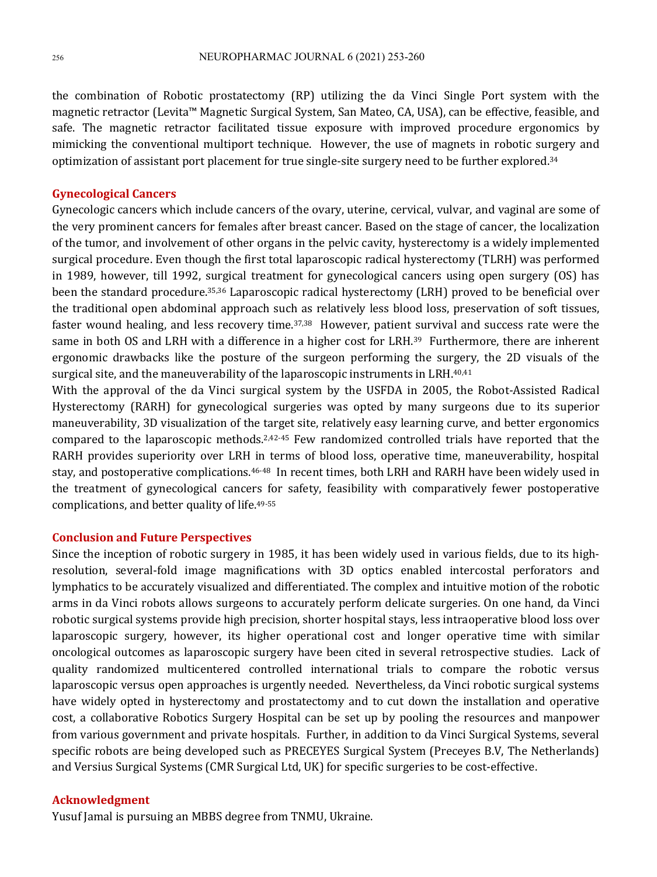the combination of Robotic prostatectomy (RP) utilizing the da Vinci Single Port system with the magnetic retractor (Levita™ Magnetic Surgical System, San Mateo, CA, USA), can be effective, feasible, and safe. The magnetic retractor facilitated tissue exposure with improved procedure ergonomics by mimicking the conventional multiport technique. However, the use of magnets in robotic surgery and optimization of assistant port placement for true single-site surgery need to be further explored.<sup>34</sup>

#### **Gynecological Cancers**

Gynecologic cancers which include cancers of the ovary, uterine, cervical, vulvar, and vaginal are some of the very prominent cancers for females after breast cancer. Based on the stage of cancer, the localization of the tumor, and involvement of other organs in the pelvic cavity, hysterectomy is a widely implemented surgical procedure. Even though the first total laparoscopic radical hysterectomy (TLRH) was performed in 1989, however, till 1992, surgical treatment for gynecological cancers using open surgery  $(OS)$  has been the standard procedure.<sup>35,36</sup> Laparoscopic radical hysterectomy (LRH) proved to be beneficial over the traditional open abdominal approach such as relatively less blood loss, preservation of soft tissues, faster wound healing, and less recovery time.<sup>37,38</sup> However, patient survival and success rate were the same in both OS and LRH with a difference in a higher cost for LRH.<sup>39</sup> Furthermore, there are inherent ergonomic drawbacks like the posture of the surgeon performing the surgery, the 2D visuals of the surgical site, and the maneuverability of the laparoscopic instruments in LRH.<sup>40,41</sup>

With the approval of the da Vinci surgical system by the USFDA in 2005, the Robot-Assisted Radical Hysterectomy (RARH) for gynecological surgeries was opted by many surgeons due to its superior maneuverability, 3D visualization of the target site, relatively easy learning curve, and better ergonomics compared to the laparoscopic methods.<sup>2,42-45</sup> Few randomized controlled trials have reported that the RARH provides superiority over LRH in terms of blood loss, operative time, maneuverability, hospital stay, and postoperative complications.<sup>46-48</sup> In recent times, both LRH and RARH have been widely used in the treatment of gynecological cancers for safety, feasibility with comparatively fewer postoperative complications, and better quality of life.<sup>49-55</sup>

#### **Conclusion and Future Perspectives**

Since the inception of robotic surgery in 1985, it has been widely used in various fields, due to its highresolution, several-fold image magnifications with 3D optics enabled intercostal perforators and lymphatics to be accurately visualized and differentiated. The complex and intuitive motion of the robotic arms in da Vinci robots allows surgeons to accurately perform delicate surgeries. On one hand, da Vinci robotic surgical systems provide high precision, shorter hospital stays, less intraoperative blood loss over laparoscopic surgery, however, its higher operational cost and longer operative time with similar oncological outcomes as laparoscopic surgery have been cited in several retrospective studies. Lack of quality randomized multicentered controlled international trials to compare the robotic versus laparoscopic versus open approaches is urgently needed. Nevertheless, da Vinci robotic surgical systems have widely opted in hysterectomy and prostatectomy and to cut down the installation and operative cost, a collaborative Robotics Surgery Hospital can be set up by pooling the resources and manpower from various government and private hospitals. Further, in addition to da Vinci Surgical Systems, several specific robots are being developed such as PRECEYES Surgical System (Preceyes B.V, The Netherlands) and Versius Surgical Systems (CMR Surgical Ltd, UK) for specific surgeries to be cost-effective.

#### **Acknowledgment**

Yusuf Jamal is pursuing an MBBS degree from TNMU, Ukraine.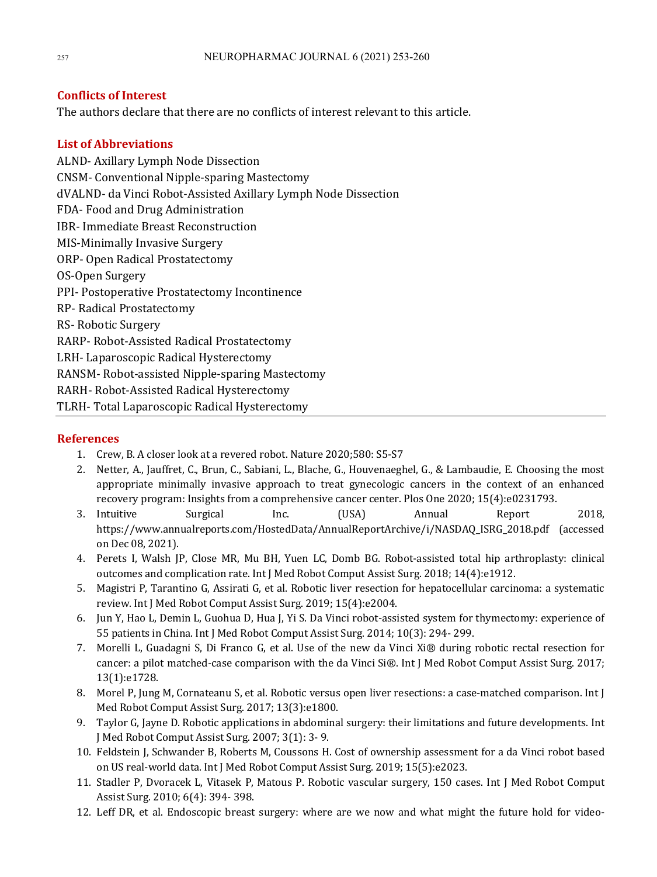#### **Conflicts of Interest**

The authors declare that there are no conflicts of interest relevant to this article.

#### **List of Abbreviations**

ALND- Axillary Lymph Node Dissection CNSM- Conventional Nipple-sparing Mastectomy dVALND- da Vinci Robot-Assisted Axillary Lymph Node Dissection FDA- Food and Drug Administration IBR- Immediate Breast Reconstruction MIS-Minimally Invasive Surgery ORP- Open Radical Prostatectomy OS-Open Surgery PPI- Postoperative Prostatectomy Incontinence RP- Radical Prostatectomy RS- Robotic Surgery RARP- Robot-Assisted Radical Prostatectomy LRH- Laparoscopic Radical Hysterectomy RANSM-Robot-assisted Nipple-sparing Mastectomy RARH- Robot-Assisted Radical Hysterectomy TLRH-Total Laparoscopic Radical Hysterectomy

#### **References**

- 1. Crew, B. A closer look at a revered robot. Nature 2020;580: S5-S7
- 2. Netter, A., Jauffret, C., Brun, C., Sabiani, L., Blache, G., Houvenaeghel, G., & Lambaudie, E. Choosing the most appropriate minimally invasive approach to treat gynecologic cancers in the context of an enhanced recovery program: Insights from a comprehensive cancer center. Plos One 2020; 15(4):e0231793.
- 3. Intuitive Surgical Inc. (USA) Annual Report 2018, https://www.annualreports.com/HostedData/AnnualReportArchive/i/NASDAQ\_ISRG\_2018.pdf (accessed on Dec 08, 2021).
- 4. Perets I, Walsh JP, Close MR, Mu BH, Yuen LC, Domb BG. Robot-assisted total hip arthroplasty: clinical outcomes and complication rate. Int J Med Robot Comput Assist Surg. 2018; 14(4):e1912.
- 5. Magistri P, Tarantino G, Assirati G, et al. Robotic liver resection for hepatocellular carcinoma: a systematic review. Int J Med Robot Comput Assist Surg. 2019; 15(4):e2004.
- 6. Jun Y, Hao L, Demin L, Guohua D, Hua J, Yi S. Da Vinci robot-assisted system for thymectomy: experience of 55 patients in China. Int J Med Robot Comput Assist Surg. 2014; 10(3): 294- 299.
- 7. Morelli L, Guadagni S, Di Franco G, et al. Use of the new da Vinci  $Xi$  @ during robotic rectal resection for cancer: a pilot matched-case comparison with the da Vinci Si®. Int J Med Robot Comput Assist Surg. 2017; 13(1):e1728.
- 8. Morel P, Jung M, Cornateanu S, et al. Robotic versus open liver resections: a case-matched comparison. Int J Med Robot Comput Assist Surg. 2017; 13(3):e1800.
- 9. Taylor G, Jayne D. Robotic applications in abdominal surgery: their limitations and future developments. Int J Med Robot Comput Assist Surg. 2007; 3(1): 3-9.
- 10. Feldstein J, Schwander B, Roberts M, Coussons H. Cost of ownership assessment for a da Vinci robot based on US real-world data. Int J Med Robot Comput Assist Surg. 2019; 15(5):e2023.
- 11. Stadler P, Dvoracek L, Vitasek P, Matous P. Robotic vascular surgery, 150 cases. Int J Med Robot Comput Assist Surg. 2010; 6(4): 394- 398.
- 12. Leff DR, et al. Endoscopic breast surgery: where are we now and what might the future hold for video-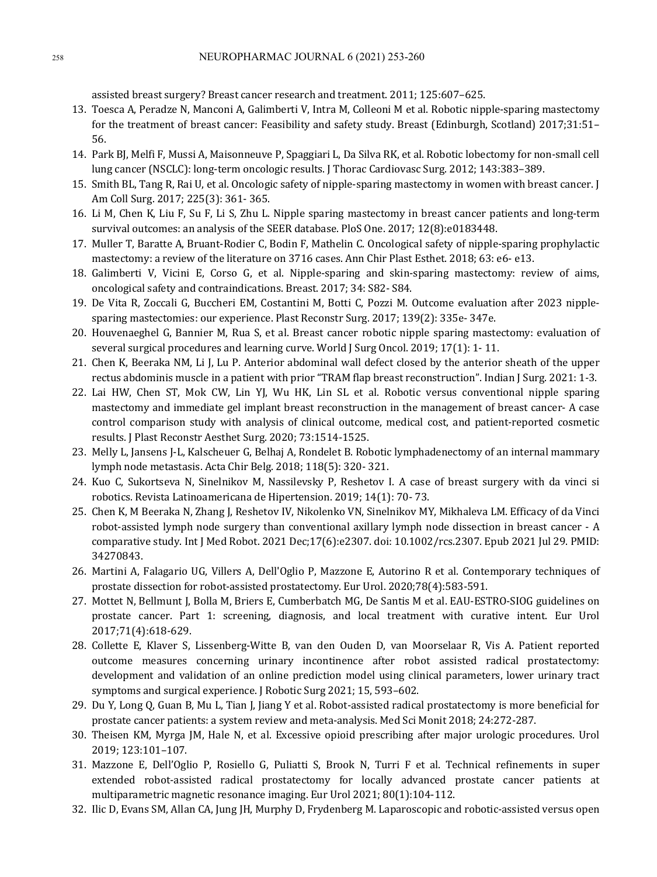assisted breast surgery? Breast cancer research and treatment. 2011; 125:607-625.

- 13. Toesca A, Peradze N, Manconi A, Galimberti V, Intra M, Colleoni M et al. Robotic nipple-sparing mastectomy for the treatment of breast cancer: Feasibility and safety study. Breast (Edinburgh, Scotland) 2017;31:51-56.
- 14. Park BJ, Melfi F, Mussi A, Maisonneuve P, Spaggiari L, Da Silva RK, et al. Robotic lobectomy for non-small cell lung cancer (NSCLC): long-term oncologic results. [Thorac Cardiovasc Surg. 2012; 143:383–389.
- 15. Smith BL, Tang R, Rai U, et al. Oncologic safety of nipple-sparing mastectomy in women with breast cancer. [ Am Coll Surg. 2017; 225(3): 361- 365.
- 16. Li M, Chen K, Liu F, Su F, Li S, Zhu L. Nipple sparing mastectomy in breast cancer patients and long-term survival outcomes: an analysis of the SEER database. PloS One. 2017; 12(8):e0183448.
- 17. Muller T, Baratte A, Bruant-Rodier C, Bodin F, Mathelin C. Oncological safety of nipple-sparing prophylactic mastectomy: a review of the literature on 3716 cases. Ann Chir Plast Esthet. 2018; 63: e6- e13.
- 18. Galimberti V, Vicini E, Corso G, et al. Nipple-sparing and skin-sparing mastectomy: review of aims, oncological safety and contraindications. Breast. 2017; 34: S82- S84.
- 19. De Vita R, Zoccali G, Buccheri EM, Costantini M, Botti C, Pozzi M. Outcome evaluation after 2023 nipplesparing mastectomies: our experience. Plast Reconstr Surg. 2017; 139(2): 335e- 347e.
- 20. Houvenaeghel G, Bannier M, Rua S, et al. Breast cancer robotic nipple sparing mastectomy: evaluation of several surgical procedures and learning curve. World J Surg Oncol. 2019;  $17(1)$ : 1-11.
- 21. Chen K, Beeraka NM, Li J, Lu P, Anterior abdominal wall defect closed by the anterior sheath of the upper rectus abdominis muscle in a patient with prior "TRAM flap breast reconstruction". Indian J Surg. 2021: 1-3.
- 22. Lai HW, Chen ST, Mok CW, Lin YJ, Wu HK, Lin SL et al. Robotic versus conventional nipple sparing mastectomy and immediate gel implant breast reconstruction in the management of breast cancer- A case control comparison study with analysis of clinical outcome, medical cost, and patient-reported cosmetic results. J Plast Reconstr Aesthet Surg. 2020; 73:1514-1525.
- 23. Melly L, Jansens J-L, Kalscheuer G, Belhaj A, Rondelet B. Robotic lymphadenectomy of an internal mammary lymph node metastasis. Acta Chir Belg. 2018; 118(5): 320- 321.
- 24. Kuo C, Sukortseva N, Sinelnikov M, Nassilevsky P, Reshetov I. A case of breast surgery with da vinci si robotics. Revista Latinoamericana de Hipertension. 2019; 14(1): 70-73.
- 25. Chen K, M Beeraka N, Zhang J, Reshetov IV, Nikolenko VN, Sinelnikov MY, Mikhaleva LM. Efficacy of da Vinci robot-assisted lymph node surgery than conventional axillary lymph node dissection in breast cancer - A comparative study. Int J Med Robot. 2021 Dec;17(6):e2307. doi: 10.1002/rcs.2307. Epub 2021 Jul 29. PMID: 34270843.
- 26. Martini A, Falagario UG, Villers A, Dell'Oglio P, Mazzone E, Autorino R et al. Contemporary techniques of prostate dissection for robot-assisted prostatectomy. Eur Urol. 2020;78(4):583-591.
- 27. Mottet N, Bellmunt J, Bolla M, Briers E, Cumberbatch MG, De Santis M et al. EAU-ESTRO-SIOG guidelines on prostate cancer. Part 1: screening, diagnosis, and local treatment with curative intent. Eur Urol 2017;71(4):618-629.
- 28. Collette E, Klaver S, Lissenberg-Witte B, van den Ouden D, van Moorselaar R, Vis A. Patient reported outcome measures concerning urinary incontinence after robot assisted radical prostatectomy: development and validation of an online prediction model using clinical parameters, lower urinary tract symptoms and surgical experience. J Robotic Surg 2021; 15, 593-602.
- 29. Du Y, Long Q, Guan B, Mu L, Tian J, Jiang Y et al. Robot-assisted radical prostatectomy is more beneficial for prostate cancer patients: a system review and meta-analysis. Med Sci Monit 2018; 24:272-287.
- 30. Theisen KM, Myrga JM, Hale N, et al. Excessive opioid prescribing after major urologic procedures. Urol 2019; 123:101–107.
- 31. Mazzone E, Dell'Oglio P, Rosiello G, Puliatti S, Brook N, Turri F et al. Technical refinements in super extended robot-assisted radical prostatectomy for locally advanced prostate cancer patients at multiparametric magnetic resonance imaging. Eur Urol 2021; 80(1):104-112.
- 32. Ilic D, Evans SM, Allan CA, Jung JH, Murphy D, Frydenberg M. Laparoscopic and robotic-assisted versus open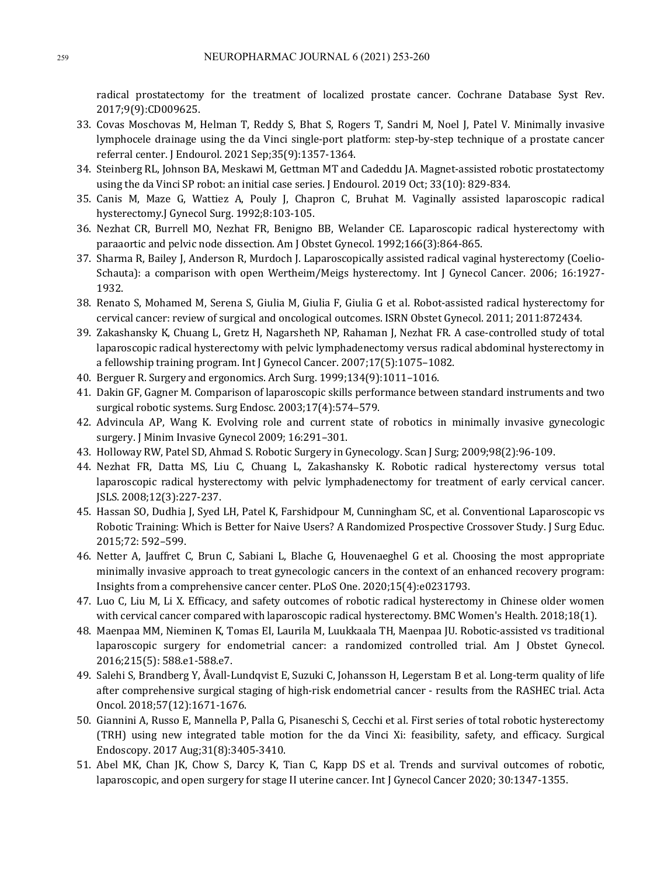radical prostatectomy for the treatment of localized prostate cancer. Cochrane Database Syst Rev. 2017;9(9):CD009625. 

- 33. Covas Moschovas M, Helman T, Reddy S, Bhat S, Rogers T, Sandri M, Noel J, Patel V. Minimally invasive lymphocele drainage using the da Vinci single-port platform: step-by-step technique of a prostate cancer referral center. J Endourol. 2021 Sep;35(9):1357-1364.
- 34. Steinberg RL, Johnson BA, Meskawi M, Gettman MT and Cadeddu JA. Magnet-assisted robotic prostatectomy using the da Vinci SP robot: an initial case series. J Endourol. 2019 Oct; 33(10): 829-834.
- 35. Canis M, Maze G, Wattiez A, Pouly J, Chapron C, Bruhat M. Vaginally assisted laparoscopic radical hysterectomy.] Gynecol Surg. 1992;8:103-105.
- 36. Nezhat CR, Burrell MO, Nezhat FR, Benigno BB, Welander CE. Laparoscopic radical hysterectomy with paraaortic and pelvic node dissection. Am J Obstet Gynecol. 1992;166(3):864-865.
- 37. Sharma R, Bailey J, Anderson R, Murdoch J. Laparoscopically assisted radical vaginal hysterectomy (Coelio-Schauta): a comparison with open Wertheim/Meigs hysterectomy. Int J Gynecol Cancer. 2006; 16:1927-1932.
- 38. Renato S, Mohamed M, Serena S, Giulia M, Giulia F, Giulia G et al. Robot-assisted radical hysterectomy for cervical cancer: review of surgical and oncological outcomes. ISRN Obstet Gynecol. 2011; 2011:872434.
- 39. Zakashansky K, Chuang L, Gretz H, Nagarsheth NP, Rahaman J, Nezhat FR. A case-controlled study of total laparoscopic radical hysterectomy with pelvic lymphadenectomy versus radical abdominal hysterectomy in a fellowship training program. Int I Gynecol Cancer. 2007:17(5):1075–1082.
- 40. Berguer R. Surgery and ergonomics. Arch Surg. 1999;134(9):1011-1016.
- 41. Dakin GF, Gagner M. Comparison of laparoscopic skills performance between standard instruments and two surgical robotic systems. Surg Endosc. 2003;17(4):574-579.
- 42. Advincula AP, Wang K. Evolving role and current state of robotics in minimally invasive gynecologic surgery. [ Minim Invasive Gynecol 2009; 16:291-301.
- 43. Holloway RW, Patel SD, Ahmad S. Robotic Surgery in Gynecology. Scan J Surg; 2009;98(2):96-109.
- 44. Nezhat FR, Datta MS, Liu C, Chuang L, Zakashansky K. Robotic radical hysterectomy versus total laparoscopic radical hysterectomy with pelvic lymphadenectomy for treatment of early cervical cancer. JSLS. 2008;12(3):227-237.
- 45. Hassan SO, Dudhia J, Syed LH, Patel K, Farshidpour M, Cunningham SC, et al. Conventional Laparoscopic vs Robotic Training: Which is Better for Naive Users? A Randomized Prospective Crossover Study. J Surg Educ. 2015;72: 592–599.
- 46. Netter A, Jauffret C, Brun C, Sabiani L, Blache G, Houvenaeghel G et al. Choosing the most appropriate minimally invasive approach to treat gynecologic cancers in the context of an enhanced recovery program: Insights from a comprehensive cancer center. PLoS One. 2020;15(4):e0231793.
- 47. Luo C, Liu M, Li X. Efficacy, and safety outcomes of robotic radical hysterectomy in Chinese older women with cervical cancer compared with laparoscopic radical hysterectomy. BMC Women's Health. 2018;18(1).
- 48. Maenpaa MM, Nieminen K, Tomas EI, Laurila M, Luukkaala TH, Maenpaa JU. Robotic-assisted vs traditional laparoscopic surgery for endometrial cancer: a randomized controlled trial. Am J Obstet Gynecol. 2016;215(5): 588.e1-588.e7.
- 49. Salehi S, Brandberg Y, Åvall-Lundqvist E, Suzuki C, Johansson H, Legerstam B et al. Long-term quality of life after comprehensive surgical staging of high-risk endometrial cancer - results from the RASHEC trial. Acta Oncol. 2018;57(12):1671-1676.
- 50. Giannini A, Russo E, Mannella P, Palla G, Pisaneschi S, Cecchi et al. First series of total robotic hysterectomy (TRH) using new integrated table motion for the da Vinci Xi: feasibility, safety, and efficacy. Surgical Endoscopy. 2017 Aug;31(8):3405-3410.
- 51. Abel MK, Chan JK, Chow S, Darcy K, Tian C, Kapp DS et al. Trends and survival outcomes of robotic, laparoscopic, and open surgery for stage II uterine cancer. Int J Gynecol Cancer 2020; 30:1347-1355.